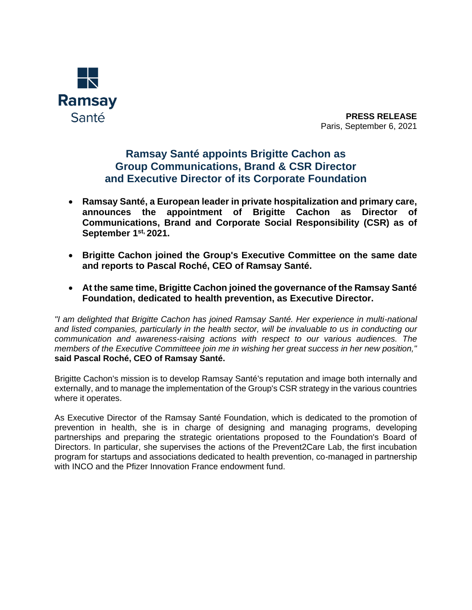

**PRESS RELEASE** Paris, September 6, 2021

## **Ramsay Santé appoints Brigitte Cachon as Group Communications, Brand & CSR Director and Executive Director of its Corporate Foundation**

- **Ramsay Santé, a European leader in private hospitalization and primary care, announces the appointment of Brigitte Cachon as Director of Communications, Brand and Corporate Social Responsibility (CSR) as of September 1 st, 2021.**
- **Brigitte Cachon joined the Group's Executive Committee on the same date and reports to Pascal Roché, CEO of Ramsay Santé.**
- **At the same time, Brigitte Cachon joined the governance of the Ramsay Santé Foundation, dedicated to health prevention, as Executive Director.**

*"I am delighted that Brigitte Cachon has joined Ramsay Santé. Her experience in multi-national and listed companies, particularly in the health sector, will be invaluable to us in conducting our communication and awareness-raising actions with respect to our various audiences. The members of the Executive Committeee join me in wishing her great success in her new position,"*  **said Pascal Roché, CEO of Ramsay Santé.**

Brigitte Cachon's mission is to develop Ramsay Santé's reputation and image both internally and externally, and to manage the implementation of the Group's CSR strategy in the various countries where it operates.

As Executive Director of the Ramsay Santé Foundation, which is dedicated to the promotion of prevention in health, she is in charge of designing and managing programs, developing partnerships and preparing the strategic orientations proposed to the Foundation's Board of Directors. In particular, she supervises the actions of the Prevent2Care Lab, the first incubation program for startups and associations dedicated to health prevention, co-managed in partnership with INCO and the Pfizer Innovation France endowment fund.